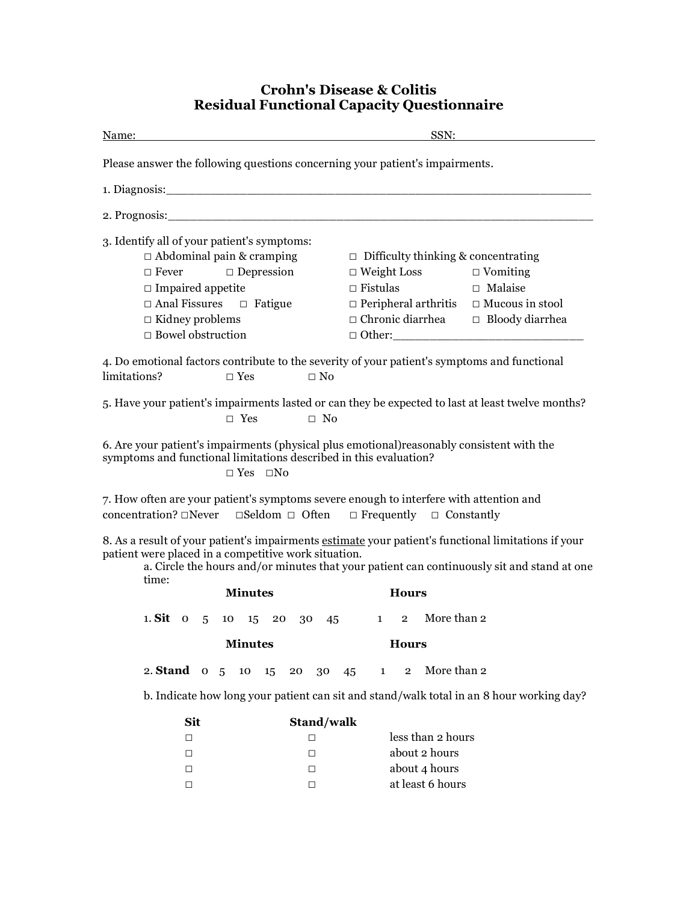## **Crohn's Disease & Colitis Residual Functional Capacity Questionnaire**

| Name:                                                                                                                                                                                                                                                              | SSN:                                                                                                                                                                                                                                                                     |  |  |  |
|--------------------------------------------------------------------------------------------------------------------------------------------------------------------------------------------------------------------------------------------------------------------|--------------------------------------------------------------------------------------------------------------------------------------------------------------------------------------------------------------------------------------------------------------------------|--|--|--|
| Please answer the following questions concerning your patient's impairments.                                                                                                                                                                                       |                                                                                                                                                                                                                                                                          |  |  |  |
|                                                                                                                                                                                                                                                                    |                                                                                                                                                                                                                                                                          |  |  |  |
|                                                                                                                                                                                                                                                                    |                                                                                                                                                                                                                                                                          |  |  |  |
| 3. Identify all of your patient's symptoms:<br>$\Box$ Abdominal pain & cramping<br>$\Box$ Fever $\Box$ Depression<br>$\Box$ Impaired appetite<br>$\Box$ Anal Fissures $\Box$ Fatigue<br>$\Box$ Kidney problems<br>$\Box$ Bowel obstruction                         | $\Box$ Difficulty thinking & concentrating<br>$\Box$ Weight Loss $\Box$ Vomiting<br>$\Box$ Fistulas<br>$\Box$ Malaise<br>$\Box$ Peripheral arthritis $\Box$ Mucous in stool<br>$\hfill\Box$ Chronic diarrhea $\hfill\Box$ Bloody diarrhea<br>$\Box$ $\Box$ $\Box$ $\Box$ |  |  |  |
| 4. Do emotional factors contribute to the severity of your patient's symptoms and functional<br>limitations?<br>$\square$ Yes<br>$\Box$ No                                                                                                                         |                                                                                                                                                                                                                                                                          |  |  |  |
| 5. Have your patient's impairments lasted or can they be expected to last at least twelve months?<br>$\Box$ Yes $\Box$ No                                                                                                                                          |                                                                                                                                                                                                                                                                          |  |  |  |
| 6. Are your patient's impairments (physical plus emotional) reasonably consistent with the<br>symptoms and functional limitations described in this evaluation?<br>$\Box$ Yes $\Box$ No                                                                            |                                                                                                                                                                                                                                                                          |  |  |  |
| 7. How often are your patient's symptoms severe enough to interfere with attention and<br>concentration? $\Box$ Never $\Box$ Seldom $\Box$ Often $\Box$ Frequently $\Box$ Constantly                                                                               |                                                                                                                                                                                                                                                                          |  |  |  |
| 8. As a result of your patient's impairments estimate your patient's functional limitations if your<br>patient were placed in a competitive work situation.<br>a. Circle the hours and/or minutes that your patient can continuously sit and stand at one<br>time: |                                                                                                                                                                                                                                                                          |  |  |  |
| <b>Minutes</b>                                                                                                                                                                                                                                                     | <b>Hours</b>                                                                                                                                                                                                                                                             |  |  |  |
| 1. Sit 0 5 10 15 20 30 45 1 2 More than 2                                                                                                                                                                                                                          |                                                                                                                                                                                                                                                                          |  |  |  |
| <b>Minutes</b><br><b>Hours</b>                                                                                                                                                                                                                                     |                                                                                                                                                                                                                                                                          |  |  |  |
| 2. Stand $\sigma$ 5<br>10<br>15<br>20<br>30                                                                                                                                                                                                                        | More than 2<br>45<br>$\mathbf{1}$<br>$\overline{2}$                                                                                                                                                                                                                      |  |  |  |
| b. Indicate how long your patient can sit and stand/walk total in an 8 hour working day?                                                                                                                                                                           |                                                                                                                                                                                                                                                                          |  |  |  |
| Sit<br>Stand/walk                                                                                                                                                                                                                                                  |                                                                                                                                                                                                                                                                          |  |  |  |
| □<br>□                                                                                                                                                                                                                                                             | less than 2 hours                                                                                                                                                                                                                                                        |  |  |  |
| $\Box$<br>□                                                                                                                                                                                                                                                        | about 2 hours                                                                                                                                                                                                                                                            |  |  |  |
| □<br>□                                                                                                                                                                                                                                                             | about 4 hours                                                                                                                                                                                                                                                            |  |  |  |

 $\Box$  at least 6 hours